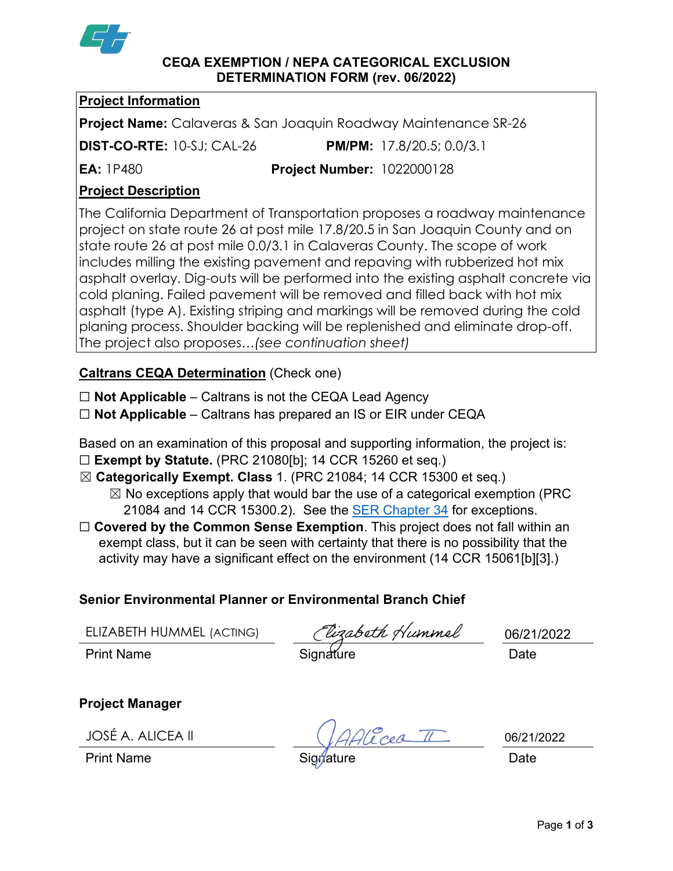

#### **CEQA EXEMPTION / NEPA CATEGORICAL EXCLUSION DETERMINATION FORM (rev. 06/2022)**

### **Project Information**

**Project Name:** Calaveras & San Joaquin Roadway Maintenance SR-26

**DIST-CO-RTE:** 10-SJ; CAL-26 **PM/PM:** 17.8/20.5; 0.0/3.1

**EA:** 1P480 **Project Number:** 1022000128

# **Project Description**

The California Department of Transportation proposes a roadway maintenance project on state route 26 at post mile 17.8/20.5 in San Joaquin County and on state route 26 at post mile 0.0/3.1 in Calaveras County. The scope of work includes milling the existing pavement and repaving with rubberized hot mix asphalt overlay. Dig-outs will be performed into the existing asphalt concrete via cold planing. Failed pavement will be removed and filled back with hot mix asphalt (type A). Existing striping and markings will be removed during the cold planing process. Shoulder backing will be replenished and eliminate drop-off. The project also proposes…*(see continuation sheet)*

## **Caltrans CEQA Determination** (Check one)

☐ **Not Applicable** – Caltrans is not the CEQA Lead Agency

☐ **Not Applicable** – Caltrans has prepared an IS or EIR under CEQA

Based on an examination of this proposal and supporting information, the project is:

☐ **Exempt by Statute.** (PRC 21080[b]; 14 CCR 15260 et seq.)

☒ **Categorically Exempt. Class** 1. (PRC 21084; 14 CCR 15300 et seq.)

 $\boxtimes$  No exceptions apply that would bar the use of a categorical exemption (PRC 21084 and 14 CCR 15300.2). See the [SER Chapter 34](https://dot.ca.gov/programs/environmental-analysis/standard-environmental-reference-ser/volume-1-guidance-for-compliance/ch-34-exemptions-to-ceqa#except) for exceptions.

□ **Covered by the Common Sense Exemption**. This project does not fall within an exempt class, but it can be seen with certainty that there is no possibility that the activity may have a significant effect on the environment (14 CCR 15061[b][3].)

# **Senior Environmental Planner or Environmental Branch Chief**

ELIZABETH HUMMEL (ACTING)

ELIZABETH HUMMEL (ACTING)<br>Print Name Date Signature Date

Alicea II

06/21/2022

**Project Manager**

JOSÉ A. ALICEA II

Print Name Signature Date

06/21/2022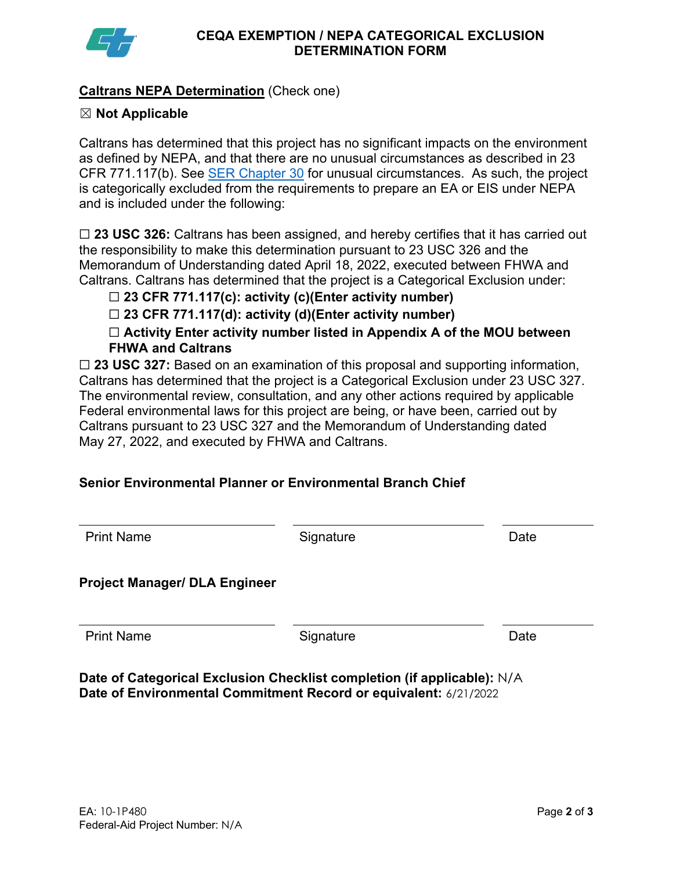

### **Caltrans NEPA Determination** (Check one)

#### ☒ **Not Applicable**

Caltrans has determined that this project has no significant impacts on the environment as defined by NEPA, and that there are no unusual circumstances as described in 23 CFR 771.117(b). See **SER Chapter 30** for unusual circumstances. As such, the project is categorically excluded from the requirements to prepare an EA or EIS under NEPA and is included under the following:

□ 23 USC 326: Caltrans has been assigned, and hereby certifies that it has carried out the responsibility to make this determination pursuant to 23 USC 326 and the Memorandum of Understanding dated April 18, 2022, executed between FHWA and Caltrans. Caltrans has determined that the project is a Categorical Exclusion under:

☐ **23 CFR 771.117(c): activity (c)(Enter activity number)**

☐ **23 CFR 771.117(d): activity (d)(Enter activity number)**

☐ **Activity Enter activity number listed in Appendix A of the MOU between FHWA and Caltrans**

□ 23 USC 327: Based on an examination of this proposal and supporting information, Caltrans has determined that the project is a Categorical Exclusion under 23 USC 327. The environmental review, consultation, and any other actions required by applicable Federal environmental laws for this project are being, or have been, carried out by Caltrans pursuant to 23 USC 327 and the Memorandum of Understanding dated May 27, 2022, and executed by FHWA and Caltrans.

### **Senior Environmental Planner or Environmental Branch Chief**

| <b>Print Name</b>                    | Signature | Date |
|--------------------------------------|-----------|------|
| <b>Project Manager/ DLA Engineer</b> |           |      |
| <b>Print Name</b>                    | Signature | Date |

**Date of Categorical Exclusion Checklist completion (if applicable):** N/A **Date of Environmental Commitment Record or equivalent:** 6/21/2022